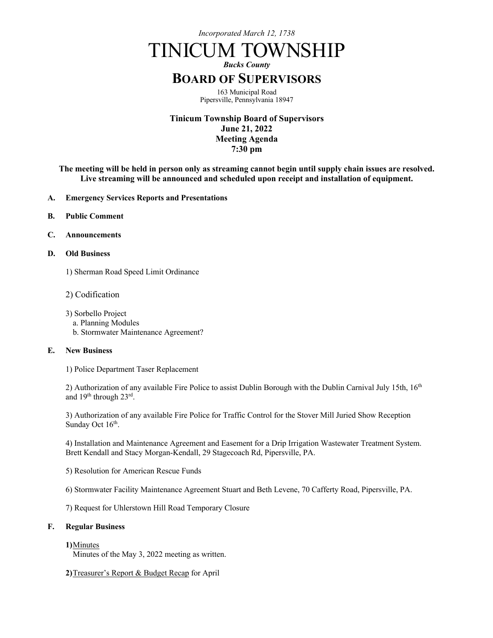*Incorporated March 12, 1738*

# TINICUM TOWNSHIP

*Bucks County*

# **BOARD OF SUPERVISORS**

163 Municipal Road Pipersville, Pennsylvania 18947

**Tinicum Township Board of Supervisors June 21, 2022 Meeting Agenda 7:30 pm**

**The meeting will be held in person only as streaming cannot begin until supply chain issues are resolved. Live streaming will be announced and scheduled upon receipt and installation of equipment.** 

- **A. Emergency Services Reports and Presentations**
- **B. Public Comment**
- **C. Announcements**
- **D. Old Business**
	- 1) Sherman Road Speed Limit Ordinance
	- 2) Codification
	- 3) Sorbello Project
		- a. Planning Modules
		- b. Stormwater Maintenance Agreement?

#### **E. New Business**

1) Police Department Taser Replacement

2) Authorization of any available Fire Police to assist Dublin Borough with the Dublin Carnival July 15th, 16<sup>th</sup> and 19th through 23rd.

3) Authorization of any available Fire Police for Traffic Control for the Stover Mill Juried Show Reception Sunday Oct 16<sup>th</sup>.

4) Installation and Maintenance Agreement and Easement for a Drip Irrigation Wastewater Treatment System. Brett Kendall and Stacy Morgan-Kendall, 29 Stagecoach Rd, Pipersville, PA.

- 5) Resolution for American Rescue Funds
- 6) Stormwater Facility Maintenance Agreement Stuart and Beth Levene, 70 Cafferty Road, Pipersville, PA.

7) Request for Uhlerstown Hill Road Temporary Closure

#### **F. Regular Business**

### **1)**Minutes

Minutes of the May 3, 2022 meeting as written.

**2)**Treasurer's Report & Budget Recap for April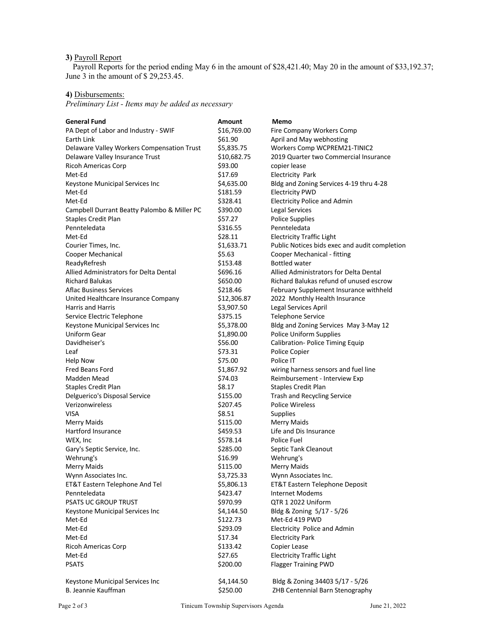# **3)** Payroll Report

Payroll Reports for the period ending May 6 in the amount of \$28,421.40; May 20 in the amount of \$33,192.37; June 3 in the amount of \$ 29,253.45.

# **4)** Disbursements:

*Preliminary List - Items may be added as necessary*

| <b>General Fund</b>                         | <b>Amount</b> | Memo                                          |
|---------------------------------------------|---------------|-----------------------------------------------|
| PA Dept of Labor and Industry - SWIF        | \$16,769.00   | Fire Company Workers Comp                     |
| Earth Link                                  | \$61.90       | April and May webhosting                      |
| Delaware Valley Workers Compensation Trust  | \$5,835.75    | Workers Comp WCPREM21-TINIC2                  |
| Delaware Valley Insurance Trust             | \$10,682.75   | 2019 Quarter two Commercial Insurance         |
| <b>Ricoh Americas Corp</b>                  | \$93.00       | copier lease                                  |
| Met-Ed                                      | \$17.69       | <b>Electricity Park</b>                       |
| Keystone Municipal Services Inc             | \$4,635.00    | Bldg and Zoning Services 4-19 thru 4-28       |
| Met-Ed                                      | \$181.59      | <b>Electricity PWD</b>                        |
| Met-Ed                                      | \$328.41      | <b>Electricity Police and Admin</b>           |
| Campbell Durrant Beatty Palombo & Miller PC | \$390.00      | Legal Services                                |
| <b>Staples Credit Plan</b>                  | \$57.27       | <b>Police Supplies</b>                        |
| Pennteledata                                | \$316.55      | Pennteledata                                  |
| Met-Ed                                      | \$28.11       | <b>Electricity Traffic Light</b>              |
| Courier Times, Inc.                         | \$1,633.71    | Public Notices bids exec and audit completion |
| Cooper Mechanical                           | \$5.63        | Cooper Mechanical - fitting                   |
| ReadyRefresh                                | \$153.48      | <b>Bottled water</b>                          |
| Allied Administrators for Delta Dental      | \$696.16      | Allied Administrators for Delta Dental        |
| <b>Richard Balukas</b>                      | \$650.00      | Richard Balukas refund of unused escrow       |
| Aflac Business Services                     | \$218.46      | February Supplement Insurance withheld        |
| United Healthcare Insurance Company         | \$12,306.87   | 2022 Monthly Health Insurance                 |
| <b>Harris and Harris</b>                    | \$3,907.50    | Legal Services April                          |
| Service Electric Telephone                  | \$375.15      | <b>Telephone Service</b>                      |
| Keystone Municipal Services Inc             | \$5,378.00    | Bldg and Zoning Services May 3-May 12         |
| <b>Uniform Gear</b>                         | \$1,890.00    | <b>Police Uniform Supplies</b>                |
| Davidheiser's                               | \$56.00       | Calibration- Police Timing Equip              |
| Leaf                                        | \$73.31       | Police Copier                                 |
| Help Now                                    | \$75.00       | Police IT                                     |
| Fred Beans Ford                             | \$1,867.92    | wiring harness sensors and fuel line          |
| Madden Mead                                 | \$74.03       | Reimbursement - Interview Exp                 |
| Staples Credit Plan                         | \$8.17        | <b>Staples Credit Plan</b>                    |
| Delguerico's Disposal Service               | \$155.00      | <b>Trash and Recycling Service</b>            |
| Verizonwireless                             | \$207.45      | <b>Police Wireless</b>                        |
| <b>VISA</b>                                 | \$8.51        | Supplies                                      |
| <b>Merry Maids</b>                          | \$115.00      | <b>Merry Maids</b>                            |
| Hartford Insurance                          | \$459.53      | Life and Dis Insurance                        |
| WEX, Inc                                    | \$578.14      | Police Fuel                                   |
| Gary's Septic Service, Inc.                 | \$285.00      | Septic Tank Cleanout                          |
| Wehrung's                                   | \$16.99       | Wehrung's                                     |
| <b>Merry Maids</b>                          | \$115.00      | <b>Merry Maids</b>                            |
| Wynn Associates Inc.                        | \$3,725.33    | Wynn Associates Inc.                          |
| ET&T Eastern Telephone And Tel              | \$5,806.13    | ET&T Eastern Telephone Deposit                |
| Pennteledata                                | \$423.47      | Internet Modems                               |
| <b>PSATS UC GROUP TRUST</b>                 | \$970.99      | QTR 1 2022 Uniform                            |
| Keystone Municipal Services Inc             | \$4,144.50    | Bldg & Zoning 5/17 - 5/26                     |
| Met-Ed                                      | \$122.73      | Met-Ed 419 PWD                                |
| Met-Ed                                      | \$293.09      | Electricity Police and Admin                  |
| Met-Ed                                      | \$17.34       | <b>Electricity Park</b>                       |
| <b>Ricoh Americas Corp</b>                  | \$133.42      | Copier Lease                                  |
| Met-Ed                                      | \$27.65       | <b>Electricity Traffic Light</b>              |
| <b>PSATS</b>                                | \$200.00      | <b>Flagger Training PWD</b>                   |
|                                             |               |                                               |
| Keystone Municipal Services Inc             | \$4,144.50    | Bldg & Zoning 34403 5/17 - 5/26               |
| B. Jeannie Kauffman                         | \$250.00      | ZHB Centennial Barn Stenography               |